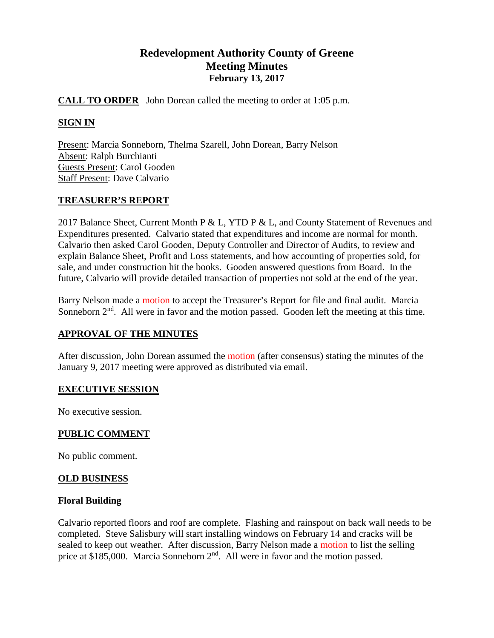# **Redevelopment Authority County of Greene Meeting Minutes February 13, 2017**

### **CALL TO ORDER** John Dorean called the meeting to order at 1:05 p.m.

### **SIGN IN**

Present: Marcia Sonneborn, Thelma Szarell, John Dorean, Barry Nelson Absent: Ralph Burchianti Guests Present: Carol Gooden Staff Present: Dave Calvario

### **TREASURER'S REPORT**

2017 Balance Sheet, Current Month P & L, YTD P & L, and County Statement of Revenues and Expenditures presented. Calvario stated that expenditures and income are normal for month. Calvario then asked Carol Gooden, Deputy Controller and Director of Audits, to review and explain Balance Sheet, Profit and Loss statements, and how accounting of properties sold, for sale, and under construction hit the books. Gooden answered questions from Board. In the future, Calvario will provide detailed transaction of properties not sold at the end of the year.

Barry Nelson made a motion to accept the Treasurer's Report for file and final audit. Marcia Sonneborn  $2<sup>nd</sup>$ . All were in favor and the motion passed. Gooden left the meeting at this time.

# **APPROVAL OF THE MINUTES**

After discussion, John Dorean assumed the motion (after consensus) stating the minutes of the January 9, 2017 meeting were approved as distributed via email.

### **EXECUTIVE SESSION**

No executive session.

### **PUBLIC COMMENT**

No public comment.

### **OLD BUSINESS**

### **Floral Building**

Calvario reported floors and roof are complete. Flashing and rainspout on back wall needs to be completed. Steve Salisbury will start installing windows on February 14 and cracks will be sealed to keep out weather. After discussion, Barry Nelson made a motion to list the selling price at \$185,000. Marcia Sonneborn  $2<sup>nd</sup>$ . All were in favor and the motion passed.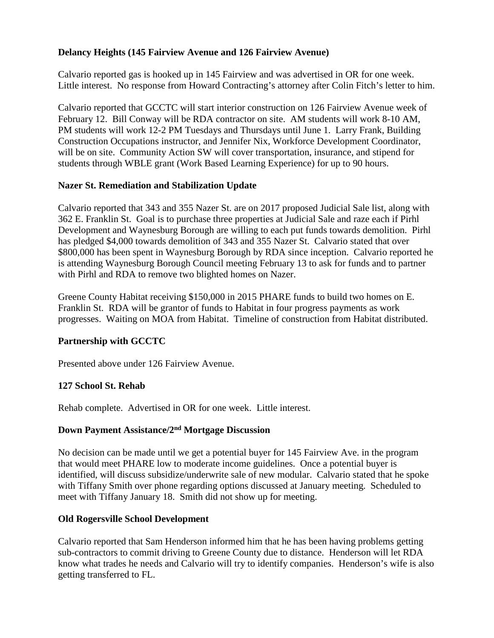# **Delancy Heights (145 Fairview Avenue and 126 Fairview Avenue)**

Calvario reported gas is hooked up in 145 Fairview and was advertised in OR for one week. Little interest. No response from Howard Contracting's attorney after Colin Fitch's letter to him.

Calvario reported that GCCTC will start interior construction on 126 Fairview Avenue week of February 12. Bill Conway will be RDA contractor on site. AM students will work 8-10 AM, PM students will work 12-2 PM Tuesdays and Thursdays until June 1. Larry Frank, Building Construction Occupations instructor, and Jennifer Nix, Workforce Development Coordinator, will be on site. Community Action SW will cover transportation, insurance, and stipend for students through WBLE grant (Work Based Learning Experience) for up to 90 hours.

### **Nazer St. Remediation and Stabilization Update**

Calvario reported that 343 and 355 Nazer St. are on 2017 proposed Judicial Sale list, along with 362 E. Franklin St. Goal is to purchase three properties at Judicial Sale and raze each if Pirhl Development and Waynesburg Borough are willing to each put funds towards demolition. Pirhl has pledged \$4,000 towards demolition of 343 and 355 Nazer St. Calvario stated that over \$800,000 has been spent in Waynesburg Borough by RDA since inception. Calvario reported he is attending Waynesburg Borough Council meeting February 13 to ask for funds and to partner with Pirhl and RDA to remove two blighted homes on Nazer.

Greene County Habitat receiving \$150,000 in 2015 PHARE funds to build two homes on E. Franklin St. RDA will be grantor of funds to Habitat in four progress payments as work progresses. Waiting on MOA from Habitat. Timeline of construction from Habitat distributed.

# **Partnership with GCCTC**

Presented above under 126 Fairview Avenue.

# **127 School St. Rehab**

Rehab complete. Advertised in OR for one week. Little interest.

### **Down Payment Assistance/2nd Mortgage Discussion**

No decision can be made until we get a potential buyer for 145 Fairview Ave. in the program that would meet PHARE low to moderate income guidelines. Once a potential buyer is identified, will discuss subsidize/underwrite sale of new modular. Calvario stated that he spoke with Tiffany Smith over phone regarding options discussed at January meeting. Scheduled to meet with Tiffany January 18. Smith did not show up for meeting.

### **Old Rogersville School Development**

Calvario reported that Sam Henderson informed him that he has been having problems getting sub-contractors to commit driving to Greene County due to distance. Henderson will let RDA know what trades he needs and Calvario will try to identify companies. Henderson's wife is also getting transferred to FL.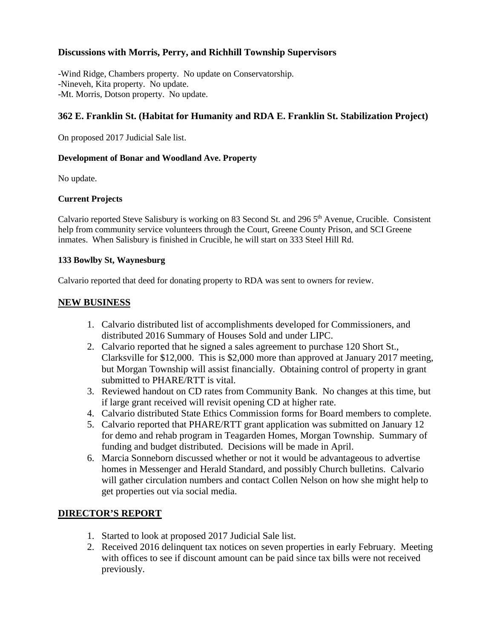### **Discussions with Morris, Perry, and Richhill Township Supervisors**

-Wind Ridge, Chambers property. No update on Conservatorship. -Nineveh, Kita property. No update. -Mt. Morris, Dotson property. No update.

### **362 E. Franklin St. (Habitat for Humanity and RDA E. Franklin St. Stabilization Project)**

On proposed 2017 Judicial Sale list.

#### **Development of Bonar and Woodland Ave. Property**

No update.

#### **Current Projects**

Calvario reported Steve Salisbury is working on 83 Second St. and 296 5th Avenue, Crucible. Consistent help from community service volunteers through the Court, Greene County Prison, and SCI Greene inmates. When Salisbury is finished in Crucible, he will start on 333 Steel Hill Rd.

#### **133 Bowlby St, Waynesburg**

Calvario reported that deed for donating property to RDA was sent to owners for review.

### **NEW BUSINESS**

- 1. Calvario distributed list of accomplishments developed for Commissioners, and distributed 2016 Summary of Houses Sold and under LIPC.
- 2. Calvario reported that he signed a sales agreement to purchase 120 Short St., Clarksville for \$12,000. This is \$2,000 more than approved at January 2017 meeting, but Morgan Township will assist financially. Obtaining control of property in grant submitted to PHARE/RTT is vital.
- 3. Reviewed handout on CD rates from Community Bank. No changes at this time, but if large grant received will revisit opening CD at higher rate.
- 4. Calvario distributed State Ethics Commission forms for Board members to complete.
- 5. Calvario reported that PHARE/RTT grant application was submitted on January 12 for demo and rehab program in Teagarden Homes, Morgan Township. Summary of funding and budget distributed. Decisions will be made in April.
- 6. Marcia Sonneborn discussed whether or not it would be advantageous to advertise homes in Messenger and Herald Standard, and possibly Church bulletins. Calvario will gather circulation numbers and contact Collen Nelson on how she might help to get properties out via social media.

# **DIRECTOR'S REPORT**

- 1. Started to look at proposed 2017 Judicial Sale list.
- 2. Received 2016 delinquent tax notices on seven properties in early February. Meeting with offices to see if discount amount can be paid since tax bills were not received previously.